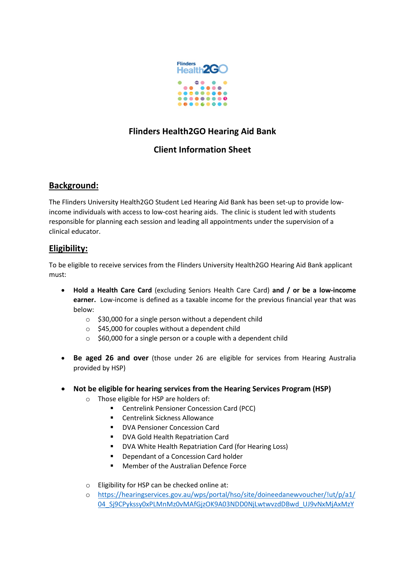

# **Flinders Health2GO Hearing Aid Bank**

## **Client Information Sheet**

### **Background:**

The Flinders University Health2GO Student Led Hearing Aid Bank has been set-up to provide lowincome individuals with access to low-cost hearing aids. The clinic is student led with students responsible for planning each session and leading all appointments under the supervision of a clinical educator.

### **Eligibility:**

To be eligible to receive services from the Flinders University Health2GO Hearing Aid Bank applicant must:

- **Hold a Health Care Card** (excluding Seniors Health Care Card) **and / or be a low-income earner.** Low-income is defined as a taxable income for the previous financial year that was below:
	- $\circ$  \$30,000 for a single person without a dependent child
	- o \$45,000 for couples without a dependent child
	- $\circ$  \$60,000 for a single person or a couple with a dependent child
- **Be aged 26 and over** (those under 26 are eligible for services from Hearing Australia provided by HSP)
- **Not be eligible for hearing services from the Hearing Services Program (HSP)**
	- o Those eligible for HSP are holders of:
		- **E** Centrelink Pensioner Concession Card (PCC)
		- Centrelink Sickness Allowance
		- DVA Pensioner Concession Card
		- **DVA Gold Health Repatriation Card**
		- **DVA White Health Repatriation Card (for Hearing Loss)**
		- Dependant of a Concession Card holder
		- Member of the Australian Defence Force
	- o Eligibility for HSP can be checked online at:
	- o [https://hearingservices.gov.au/wps/portal/hso/site/doineedanewvoucher/!ut/p/a1/](https://hearingservices.gov.au/wps/portal/hso/site/doineedanewvoucher/!ut/p/a1/04_Sj9CPykssy0xPLMnMz0vMAfGjzOK9A03NDD0NjLwtwvzdDBwd_UJ9vNxMjAxMzYEKIvEoMDAlTr8BDuBoQEh_uH4UXiUgF4AV4LGiIDc0wiDTUREAYCKrJA!!/dl5/d5/L2dBISEvZ0FBIS9nQSEh/) [04\\_Sj9CPykssy0xPLMnMz0vMAfGjzOK9A03NDD0NjLwtwvzdDBwd\\_UJ9vNxMjAxMzY](https://hearingservices.gov.au/wps/portal/hso/site/doineedanewvoucher/!ut/p/a1/04_Sj9CPykssy0xPLMnMz0vMAfGjzOK9A03NDD0NjLwtwvzdDBwd_UJ9vNxMjAxMzYEKIvEoMDAlTr8BDuBoQEh_uH4UXiUgF4AV4LGiIDc0wiDTUREAYCKrJA!!/dl5/d5/L2dBISEvZ0FBIS9nQSEh/)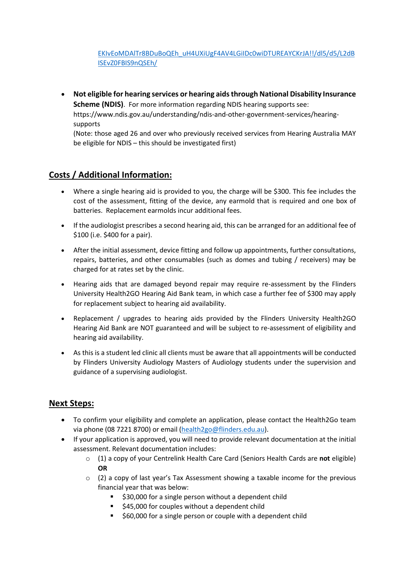[EKIvEoMDAlTr8BDuBoQEh\\_uH4UXiUgF4AV4LGiIDc0wiDTUREAYCKrJA!!/dl5/d5/L2dB](https://hearingservices.gov.au/wps/portal/hso/site/doineedanewvoucher/!ut/p/a1/04_Sj9CPykssy0xPLMnMz0vMAfGjzOK9A03NDD0NjLwtwvzdDBwd_UJ9vNxMjAxMzYEKIvEoMDAlTr8BDuBoQEh_uH4UXiUgF4AV4LGiIDc0wiDTUREAYCKrJA!!/dl5/d5/L2dBISEvZ0FBIS9nQSEh/) [ISEvZ0FBIS9nQSEh/](https://hearingservices.gov.au/wps/portal/hso/site/doineedanewvoucher/!ut/p/a1/04_Sj9CPykssy0xPLMnMz0vMAfGjzOK9A03NDD0NjLwtwvzdDBwd_UJ9vNxMjAxMzYEKIvEoMDAlTr8BDuBoQEh_uH4UXiUgF4AV4LGiIDc0wiDTUREAYCKrJA!!/dl5/d5/L2dBISEvZ0FBIS9nQSEh/)

• **Not eligible for hearing services or hearing aids through National Disability Insurance Scheme (NDIS)**. For more information regarding NDIS hearing supports see: https://www.ndis.gov.au/understanding/ndis-and-other-government-services/hearing-

supports

(Note: those aged 26 and over who previously received services from Hearing Australia MAY be eligible for NDIS – this should be investigated first)

### **Costs / Additional Information:**

- Where a single hearing aid is provided to you, the charge will be \$300. This fee includes the cost of the assessment, fitting of the device, any earmold that is required and one box of batteries. Replacement earmolds incur additional fees.
- If the audiologist prescribes a second hearing aid, this can be arranged for an additional fee of \$100 (i.e. \$400 for a pair).
- After the initial assessment, device fitting and follow up appointments, further consultations, repairs, batteries, and other consumables (such as domes and tubing / receivers) may be charged for at rates set by the clinic.
- Hearing aids that are damaged beyond repair may require re-assessment by the Flinders University Health2GO Hearing Aid Bank team, in which case a further fee of \$300 may apply for replacement subject to hearing aid availability.
- Replacement / upgrades to hearing aids provided by the Flinders University Health2GO Hearing Aid Bank are NOT guaranteed and will be subject to re-assessment of eligibility and hearing aid availability.
- As this is a student led clinic all clients must be aware that all appointments will be conducted by Flinders University Audiology Masters of Audiology students under the supervision and guidance of a supervising audiologist.

#### **Next Steps:**

- To confirm your eligibility and complete an application, please contact the Health2Go team via phone (08 7221 8700) or email [\(health2go@flinders.edu.au\)](mailto:health2go@flinders.edu.au).
- If your application is approved, you will need to provide relevant documentation at the initial assessment. Relevant documentation includes:
	- o (1) a copy of your Centrelink Health Care Card (Seniors Health Cards are **not** eligible) **OR**
	- $\circ$  (2) a copy of last year's Tax Assessment showing a taxable income for the previous financial year that was below:
		- **530,000 for a single person without a dependent child**
		- **545,000 for couples without a dependent child**
		- **560,000 for a single person or couple with a dependent child**